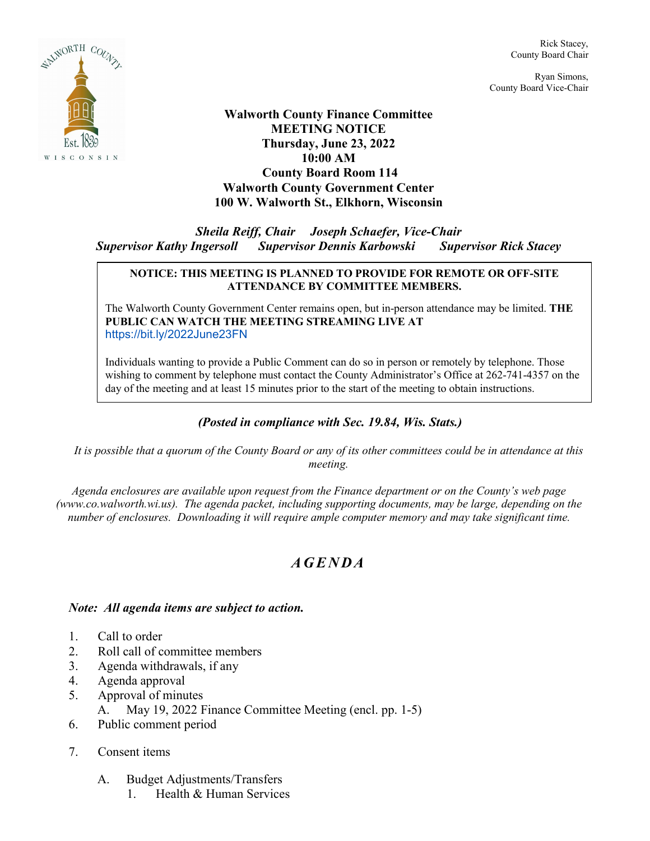

Rick Stacey, County Board Chair

Ryan Simons, County Board Vice-Chair

**Walworth County Finance Committee MEETING NOTICE Thursday, June 23, 2022 10:00 AM County Board Room 114 Walworth County Government Center 100 W. Walworth St., Elkhorn, Wisconsin**

*Sheila Reiff, Chair Joseph Schaefer, Vice-Chair Supervisor Kathy Ingersoll Supervisor Dennis Karbowski Supervisor Rick Stacey*

## **NOTICE: THIS MEETING IS PLANNED TO PROVIDE FOR REMOTE OR OFF-SITE ATTENDANCE BY COMMITTEE MEMBERS.**

The Walworth County Government Center remains open, but in-person attendance may be limited. **THE PUBLIC CAN WATCH THE MEETING STREAMING LIVE AT** <https://bit.ly/2022June23FN>

Individuals wanting to provide a Public Comment can do so in person or remotely by telephone. Those wishing to comment by telephone must contact the County Administrator's Office at 262-741-4357 on the day of the meeting and at least 15 minutes prior to the start of the meeting to obtain instructions.

## *(Posted in compliance with Sec. 19.84, Wis. Stats.)*

*It is possible that a quorum of the County Board or any of its other committees could be in attendance at this meeting.*

*Agenda enclosures are available upon request from the Finance department or on the County's web page (www.co.walworth.wi.us). The agenda packet, including supporting documents, may be large, depending on the number of enclosures. Downloading it will require ample computer memory and may take significant time.*

## *AGENDA*

## *Note: All agenda items are subject to action.*

- 1. Call to order
- 2. Roll call of committee members
- 3. Agenda withdrawals, if any
- 4. Agenda approval
- 5. Approval of minutes
	- A. May 19, 2022 Finance Committee Meeting (encl. pp. 1-5)
- 6. Public comment period
- 7. Consent items
	- A. Budget Adjustments/Transfers
		- 1. Health & Human Services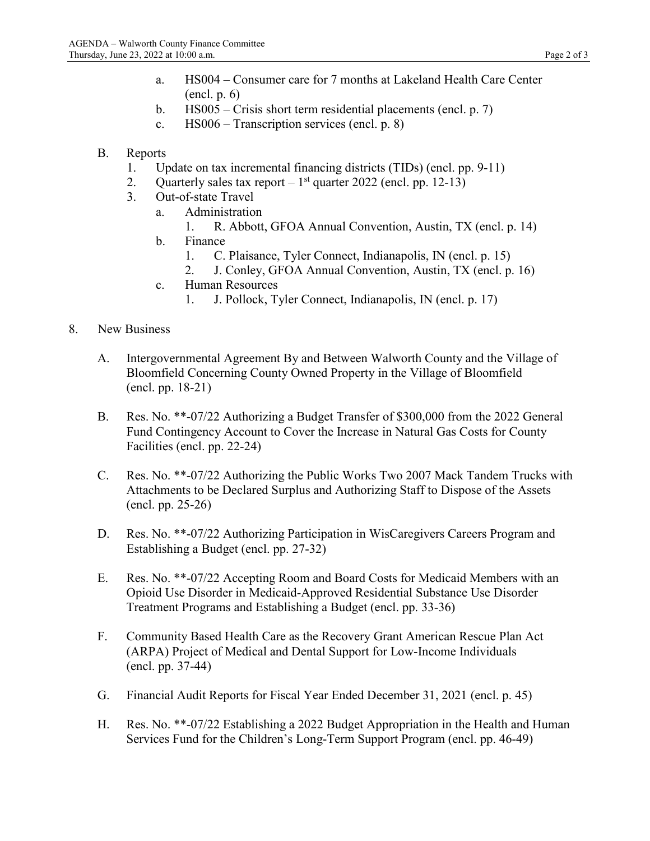- a. HS004 Consumer care for 7 months at Lakeland Health Care Center (encl. p. 6)
- b. HS005 Crisis short term residential placements (encl. p. 7)
- c. HS006 Transcription services (encl. p. 8)
- B. Reports
	- 1. Update on tax incremental financing districts (TIDs) (encl. pp. 9-11)
	- 2. Quarterly sales tax report  $-1<sup>st</sup>$  quarter 2022 (encl. pp. 12-13)
	- 3. Out-of-state Travel
		- a. Administration
			- 1. R. Abbott, GFOA Annual Convention, Austin, TX (encl. p. 14)
		- b. Finance
			- 1. C. Plaisance, Tyler Connect, Indianapolis, IN (encl. p. 15)
			- 2. J. Conley, GFOA Annual Convention, Austin, TX (encl. p. 16)
		- c. Human Resources
			- 1. J. Pollock, Tyler Connect, Indianapolis, IN (encl. p. 17)
- 8. New Business
	- A. Intergovernmental Agreement By and Between Walworth County and the Village of Bloomfield Concerning County Owned Property in the Village of Bloomfield (encl. pp. 18-21)
	- B. Res. No. \*\*-07/22 Authorizing a Budget Transfer of \$300,000 from the 2022 General Fund Contingency Account to Cover the Increase in Natural Gas Costs for County Facilities (encl. pp. 22-24)
	- C. Res. No. \*\*-07/22 Authorizing the Public Works Two 2007 Mack Tandem Trucks with Attachments to be Declared Surplus and Authorizing Staff to Dispose of the Assets (encl. pp. 25-26)
	- D. Res. No. \*\*-07/22 Authorizing Participation in WisCaregivers Careers Program and Establishing a Budget (encl. pp. 27-32)
	- E. Res. No. \*\*-07/22 Accepting Room and Board Costs for Medicaid Members with an Opioid Use Disorder in Medicaid-Approved Residential Substance Use Disorder Treatment Programs and Establishing a Budget (encl. pp. 33-36)
	- F. Community Based Health Care as the Recovery Grant American Rescue Plan Act (ARPA) Project of Medical and Dental Support for Low-Income Individuals (encl. pp. 37-44)
	- G. Financial Audit Reports for Fiscal Year Ended December 31, 2021 (encl. p. 45)
	- H. Res. No. \*\*-07/22 Establishing a 2022 Budget Appropriation in the Health and Human Services Fund for the Children's Long-Term Support Program (encl. pp. 46-49)